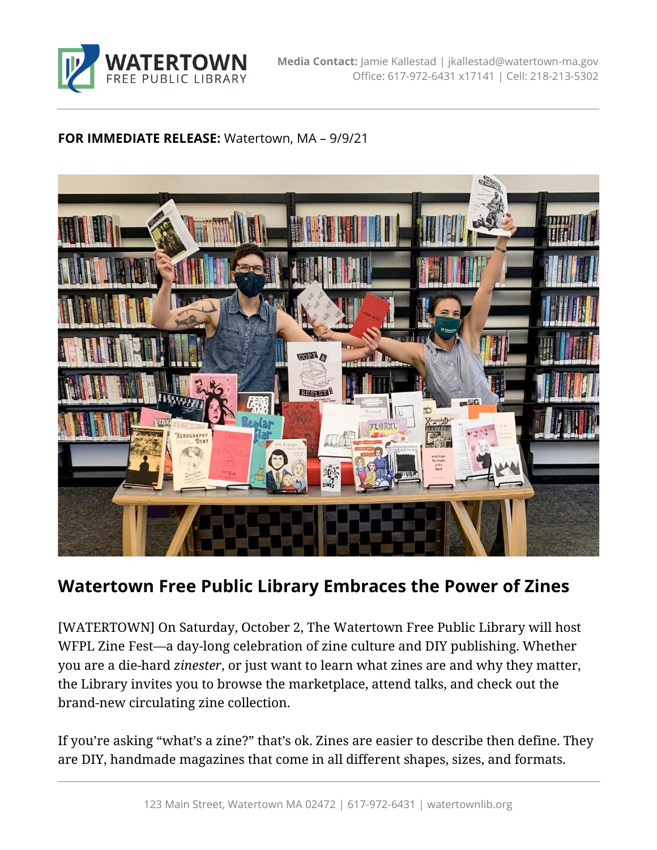

## **FOR IMMEDIATE RELEASE:** Watertown, MA – 9/9/21



## **Watertown Free Public Library Embraces the Power of Zines**

[WATERTOWN] On Saturday, October 2, The Watertown Free Public Library will host WFPL Zine Fest—a day-long celebration of zine culture and DIY publishing. Whether you are a die-hard *zinester*, or just want to learn what zines are and why they matter, the Library invites you to browse the marketplace, attend talks, and check out the brand-new circulating zine collection.

If you're asking "what's a zine?" that's ok. Zines are easier to describe then define. They are DIY, handmade magazines that come in all different shapes, sizes, and formats.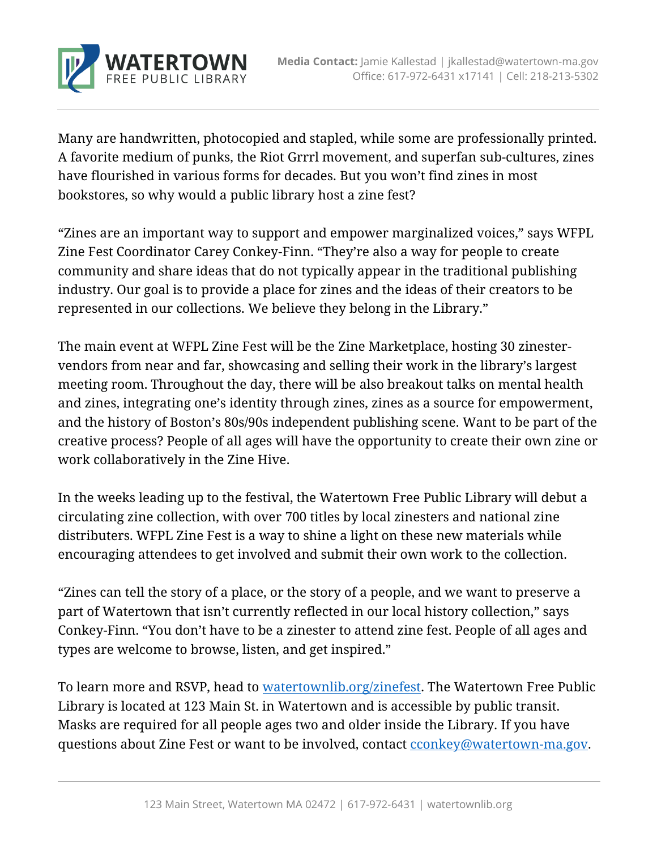

Many are handwritten, photocopied and stapled, while some are professionally printed. A favorite medium of punks, the Riot Grrrl movement, and superfan sub-cultures, zines have flourished in various forms for decades. But you won't find zines in most bookstores, so why would a public library host a zine fest?

"Zines are an important way to support and empower marginalized voices," says WFPL Zine Fest Coordinator Carey Conkey-Finn. "They're also a way for people to create community and share ideas that do not typically appear in the traditional publishing industry. Our goal is to provide a place for zines and the ideas of their creators to be represented in our collections. We believe they belong in the Library."

The main event at WFPL Zine Fest will be the Zine Marketplace, hosting 30 zinestervendors from near and far, showcasing and selling their work in the library's largest meeting room. Throughout the day, there will be also breakout talks on mental health and zines, integrating one's identity through zines, zines as a source for empowerment, and the history of Boston's 80s/90s independent publishing scene. Want to be part of the creative process? People of all ages will have the opportunity to create their own zine or work collaboratively in the Zine Hive.

In the weeks leading up to the festival, the Watertown Free Public Library will debut a circulating zine collection, with over 700 titles by local zinesters and national zine distributers. WFPL Zine Fest is a way to shine a light on these new materials while encouraging attendees to get involved and submit their own work to the collection.

"Zines can tell the story of a place, or the story of a people, and we want to preserve a part of Watertown that isn't currently reflected in our local history collection," says Conkey-Finn. "You don't have to be a zinester to attend zine fest. People of all ages and types are welcome to browse, listen, and get inspired."

To learn more and RSVP, head to [watertownlib.org/zinefest.](watertownlib.org/zinefest) The Watertown Free Public Library is located at 123 Main St. in Watertown and is accessible by public transit. Masks are required for all people ages two and older inside the Library. If you have questions about Zine Fest or want to be involved, contact conkey@watertown-ma.gov.